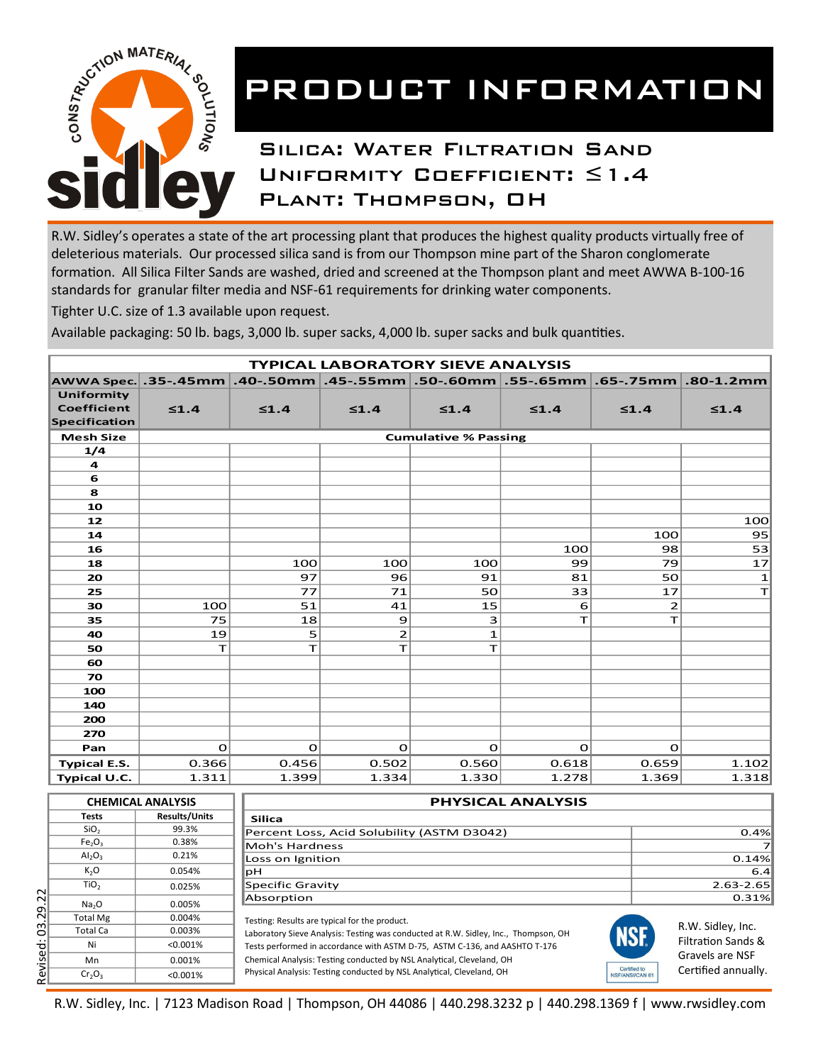

# PRODUCT INFORMATION

## Silica: Water Filtration Sand Uniformity Coefficient: ≤1.4 Plant: Thompson, OH

R.W. Sidley's operates a state of the art processing plant that produces the highest quality products virtually free of deleterious materials. Our processed silica sand is from our Thompson mine part of the Sharon conglomerate formation. All Silica Filter Sands are washed, dried and screened at the Thompson plant and meet AWWA B-100-16 standards for granular filter media and NSF-61 requirements for drinking water components.

Tighter U.C. size of 1.3 available upon request.

Available packaging: 50 lb. bags, 3,000 lb. super sacks, 4,000 lb. super sacks and bulk quantities.

| <b>TYPICAL LABORATORY SIEVE ANALYSIS</b> |                             |                                                                                                                                 |                               |                                                                      |            |                |                           |  |  |  |
|------------------------------------------|-----------------------------|---------------------------------------------------------------------------------------------------------------------------------|-------------------------------|----------------------------------------------------------------------|------------|----------------|---------------------------|--|--|--|
|                                          |                             |                                                                                                                                 |                               | AWWA Spec. .35-.45mm   .40-.50mm   .45-.55mm   .50-.60mm   .55-.65mm |            |                | $.65-.75$ mm $.80-1.2$ mm |  |  |  |
| Uniformity                               |                             |                                                                                                                                 |                               |                                                                      |            |                |                           |  |  |  |
| Coefficient                              | $\leq 1.4$                  | $\leq 1.4$                                                                                                                      | $\leq 1.4$                    | $\leq 1.4$                                                           | $\leq 1.4$ | $\leq 1.4$     | $\leq 1.4$                |  |  |  |
| <b>Specification</b>                     |                             |                                                                                                                                 |                               |                                                                      |            |                |                           |  |  |  |
| <b>Mesh Size</b>                         | <b>Cumulative % Passing</b> |                                                                                                                                 |                               |                                                                      |            |                |                           |  |  |  |
| 1/4                                      |                             |                                                                                                                                 |                               |                                                                      |            |                |                           |  |  |  |
| 4                                        |                             |                                                                                                                                 |                               |                                                                      |            |                |                           |  |  |  |
| 6                                        |                             |                                                                                                                                 |                               |                                                                      |            |                |                           |  |  |  |
| 8                                        |                             |                                                                                                                                 |                               |                                                                      |            |                |                           |  |  |  |
| 10                                       |                             |                                                                                                                                 |                               |                                                                      |            |                |                           |  |  |  |
| 12                                       |                             |                                                                                                                                 |                               |                                                                      |            |                | 100                       |  |  |  |
| 14                                       |                             |                                                                                                                                 |                               |                                                                      |            | 100            | 95                        |  |  |  |
| 16                                       |                             |                                                                                                                                 |                               |                                                                      | 100        | 98             | 53                        |  |  |  |
| 18                                       |                             | 100                                                                                                                             | 100                           | 100                                                                  | 99         | 79             | 17                        |  |  |  |
| 20                                       |                             | 97                                                                                                                              | 96                            | 91                                                                   | 81         | 50             | $\mathbf{1}$              |  |  |  |
| 25                                       |                             | 77                                                                                                                              | 71                            | 50                                                                   | 33         | 17             | T                         |  |  |  |
| 30                                       | 100                         | 51                                                                                                                              | 41                            | 15                                                                   | 6          | $\overline{2}$ |                           |  |  |  |
| 35                                       | 75                          | 18                                                                                                                              | 9                             | 3                                                                    | T          | T              |                           |  |  |  |
| 40                                       | 19                          | 5                                                                                                                               | $\overline{2}$                | $\mathbf{1}$                                                         |            |                |                           |  |  |  |
| 50                                       | T                           | T                                                                                                                               | T                             | т                                                                    |            |                |                           |  |  |  |
| 60                                       |                             |                                                                                                                                 |                               |                                                                      |            |                |                           |  |  |  |
| 70                                       |                             |                                                                                                                                 |                               |                                                                      |            |                |                           |  |  |  |
| 100                                      |                             |                                                                                                                                 |                               |                                                                      |            |                |                           |  |  |  |
| 140                                      |                             |                                                                                                                                 |                               |                                                                      |            |                |                           |  |  |  |
| 200                                      |                             |                                                                                                                                 |                               |                                                                      |            |                |                           |  |  |  |
| 270                                      |                             |                                                                                                                                 |                               |                                                                      |            |                |                           |  |  |  |
| Pan                                      | $\Omega$                    | $\mathbf 0$                                                                                                                     | $\mathbf O$                   | O                                                                    | O          | O              |                           |  |  |  |
| <b>Typical E.S.</b>                      | 0.366                       | 0.456                                                                                                                           | 0.502                         | 0.560                                                                | 0.618      | 0.659          | 1.102                     |  |  |  |
| Typical U.C.                             | 1.311                       | 1.399                                                                                                                           | 1.334                         | 1.330                                                                | 1.278      | 1.369          | 1.318                     |  |  |  |
|                                          |                             |                                                                                                                                 |                               |                                                                      |            |                |                           |  |  |  |
|                                          | <b>CHEMICAL ANALYSIS</b>    | <b>PHYSICAL ANALYSIS</b>                                                                                                        |                               |                                                                      |            |                |                           |  |  |  |
| <b>Tests</b>                             | <b>Results/Units</b>        | <b>Silica</b>                                                                                                                   |                               |                                                                      |            |                |                           |  |  |  |
| SiO <sub>2</sub>                         | 99.3%                       | Percent Loss, Acid Solubility (ASTM D3042)<br>0.4%                                                                              |                               |                                                                      |            |                |                           |  |  |  |
| Fe <sub>2</sub> O <sub>3</sub>           | 0.38%                       | Moh's Hardness<br>7                                                                                                             |                               |                                                                      |            |                |                           |  |  |  |
| Al <sub>2</sub> O <sub>3</sub>           | 0.21%                       | Loss on Ignition<br>0.14%                                                                                                       |                               |                                                                      |            |                |                           |  |  |  |
| $K_2O$                                   | 0.054%                      | 6.4<br>þН                                                                                                                       |                               |                                                                      |            |                |                           |  |  |  |
| TiO <sub>2</sub>                         | 0.025%                      |                                                                                                                                 | Specific Gravity<br>2.63-2.65 |                                                                      |            |                |                           |  |  |  |
| Na <sub>2</sub> O                        | 0.005%                      | Absorption<br>0.31%                                                                                                             |                               |                                                                      |            |                |                           |  |  |  |
| <b>Total Mg</b>                          | 0.004%                      | Testing: Results are typical for the product.                                                                                   |                               |                                                                      |            |                |                           |  |  |  |
| <b>Total Ca</b>                          | 0.003%                      | R.W. Sidley, Inc.<br><b>NSF</b><br>Laboratory Sieve Analysis: Testing was conducted at R.W. Sidley, Inc., Thompson, OH          |                               |                                                                      |            |                |                           |  |  |  |
| Ni                                       | < 0.001%                    | <b>Filtration Sands &amp;</b><br>Tests performed in accordance with ASTM D-75, ASTM C-136, and AASHTO T-176                     |                               |                                                                      |            |                |                           |  |  |  |
| Mn                                       | 0.001%                      | Gravels are NSF<br>Chemical Analysis: Testing conducted by NSL Analytical, Cleveland, OH                                        |                               |                                                                      |            |                |                           |  |  |  |
| $Cr_2O_2$                                | < 0.001%                    | Certified to<br>Certified annually.<br>Physical Analysis: Testing conducted by NSL Analytical, Cleveland, OH<br>NSF/ANSI/CAN 61 |                               |                                                                      |            |                |                           |  |  |  |

| <b>Results/Units</b><br>99.3% | <b>Silica</b><br>Percent Loss, Acid Solubility (ASTM D3042)                |                                                                                                                                      |                                                |  |  |
|-------------------------------|----------------------------------------------------------------------------|--------------------------------------------------------------------------------------------------------------------------------------|------------------------------------------------|--|--|
|                               |                                                                            |                                                                                                                                      |                                                |  |  |
|                               |                                                                            |                                                                                                                                      | 0.4%                                           |  |  |
|                               | Moh's Hardness                                                             |                                                                                                                                      |                                                |  |  |
| 0.21%                         | Loss on Ignition                                                           |                                                                                                                                      | 0.14%                                          |  |  |
| 0.054%                        | ∣pH                                                                        |                                                                                                                                      | 6.4                                            |  |  |
| 0.025%                        | Specific Gravity                                                           |                                                                                                                                      | 2.63-2.65                                      |  |  |
| 0.005%                        | Absorption                                                                 |                                                                                                                                      | 0.31%                                          |  |  |
| Total Mg<br>0.004%            |                                                                            |                                                                                                                                      |                                                |  |  |
| 0.003%                        |                                                                            |                                                                                                                                      | R.W. Sidley, Inc.                              |  |  |
| $< 0.001\%$                   | Tests performed in accordance with ASTM D-75, ASTM C-136, and AASHTO T-176 |                                                                                                                                      | <b>Filtration Sands &amp;</b>                  |  |  |
| 0.001%                        | Chemical Analysis: Testing conducted by NSL Analytical, Cleveland, OH      |                                                                                                                                      | Gravels are NSF                                |  |  |
| < 0.001%                      | Physical Analysis: Testing conducted by NSL Analytical, Cleveland, OH      |                                                                                                                                      | Certified annually.                            |  |  |
|                               | 0.38%                                                                      | Testing: Results are typical for the product.<br>Laboratory Sieve Analysis: Testing was conducted at R.W. Sidley, Inc., Thompson, OH | <b>NSF.</b><br>Certified to<br>NSF/ANSI/CAN 61 |  |  |

R.W. Sidley, Inc. | 7123 Madison Road | Thompson, OH 44086 | 440.298.3232 p | 440.298.1369 f | www.rwsidley.com